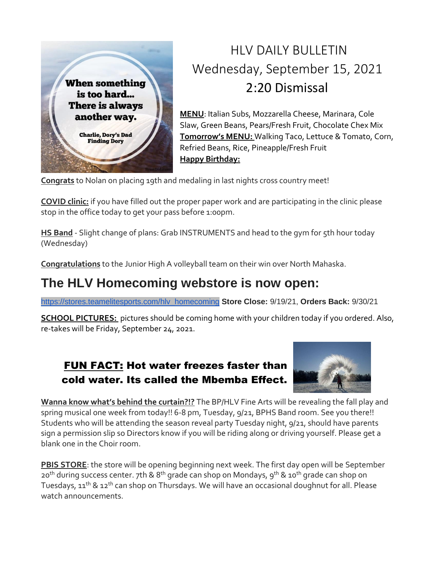

## HLV DAILY BULLETIN Wednesday, September 15, 2021 2:20 Dismissal

**MENU**: Italian Subs, Mozzarella Cheese, Marinara, Cole Slaw, Green Beans, Pears/Fresh Fruit, Chocolate Chex Mix **Tomorrow's MENU:** Walking Taco, Lettuce & Tomato, Corn, Refried Beans, Rice, Pineapple/Fresh Fruit **Happy Birthday:**

**Congrats** to Nolan on placing 19th and medaling in last nights cross country meet!

**COVID clinic:** if you have filled out the proper paper work and are participating in the clinic please stop in the office today to get your pass before 1:00pm.

**HS Band** - Slight change of plans: Grab INSTRUMENTS and head to the gym for 5th hour today (Wednesday)

**Congratulations** to the Junior High A volleyball team on their win over North Mahaska.

### **The HLV Homecoming webstore is now open:**

[https://stores.teamelitesports.com/hlv\\_homecoming](https://stores.teamelitesports.com/hlv_homecoming) **Store Close:** 9/19/21, **Orders Back:** 9/30/21

**SCHOOL PICTURES:** pictures should be coming home with your children today if you ordered. Also, re-takes will be Friday, September 24, 2021.

#### FUN FACT: Hot water freezes faster than cold water. Its called the Mbemba Effect.



**Wanna know what's behind the curtain?!?** The BP/HLV Fine Arts will be revealing the fall play and spring musical one week from today!! 6-8 pm, Tuesday, 9/21, BPHS Band room. See you there!! Students who will be attending the season reveal party Tuesday night, 9/21, should have parents sign a permission slip so Directors know if you will be riding along or driving yourself. Please get a blank one in the Choir room.

**PBIS STORE**: the store will be opening beginning next week. The first day open will be September  $20<sup>th</sup>$  during success center. 7th & 8<sup>th</sup> grade can shop on Mondays, 9<sup>th</sup> & 10<sup>th</sup> grade can shop on Tuesdays, 11<sup>th</sup> & 12<sup>th</sup> can shop on Thursdays. We will have an occasional doughnut for all. Please watch announcements.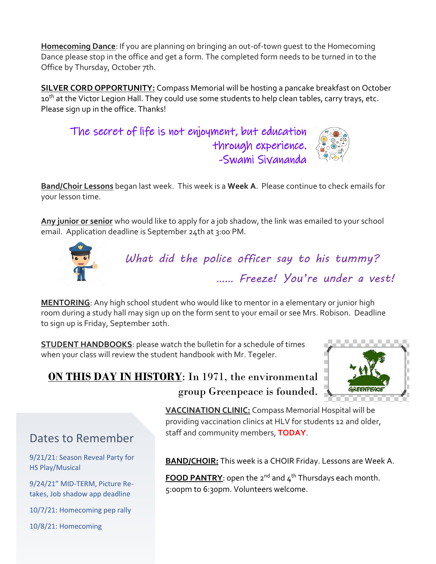**Homecoming Dance**: If you are planning on bringing an out-of-town guest to the Homecoming Dance please stop in the office and get a form. The completed form needs to be turned in to the Office by Thursday, October 7th.

**SILVER CORD OPPORTUNITY:** Compass Memorial will be hosting a pancake breakfast on October 10<sup>th</sup> at the Victor Legion Hall. They could use some students to help clean tables, carry trays, etc. Please sign up in the office. Thanks!

The secret of life is not enjoyment, but education through experience. -Swami Sivananda

**Band/Choir Lessons** began last week. This week is a **Week A**. Please continue to check emails for your lesson time.

**Any junior or senior** who would like to apply for a job shadow, the link was emailed to your school email. Application deadline is September 24th at 3:00 PM.



*What did the police officer say to his tummy? …… Freeze! You're under a vest!* 

**MENTORING**: Any high school student who would like to mentor in a elementary or junior high room during a study hall may sign up on the form sent to your email or see Mrs. Robison. Deadline to sign up is Friday, September 10th.

**STUDENT HANDBOOKS**: please watch the bulletin for a schedule of times when your class will review the student handbook with Mr. Tegeler.



#### **ON THIS DAY IN HISTORY**: In 1971, the environmental group Greenpeace is founded.

**VACCINATION CLINIC:** Compass Memorial Hospital will be providing vaccination clinics at HLV for students 12 and older, staff and community members, **TODAY**.

#### Dates to Remember

9/21/21: Season Reveal Party for HS Play/Musical

9/24/21" MID-TERM, Picture Retakes, Job shadow app deadline

10/7/21: Homecoming pep rally

10/8/21: Homecoming

**BAND/CHOIR:** This week is a CHOIR Friday. Lessons are Week A.

**FOOD PANTRY**: open the 2<sup>nd</sup> and 4<sup>th</sup> Thursdays each month. 5:00pm to 6:30pm. Volunteers welcome.